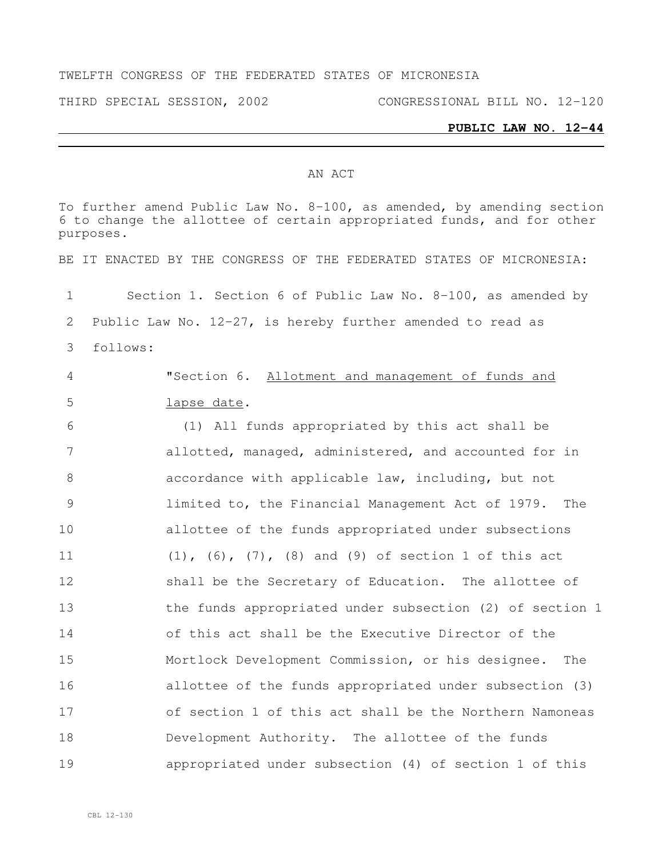### AN ACT

To further amend Public Law No. 8-100, as amended, by amending section to change the allottee of certain appropriated funds, and for other purposes. BE IT ENACTED BY THE CONGRESS OF THE FEDERATED STATES OF MICRONESIA: Section 1. Section 6 of Public Law No. 8-100, as amended by Public Law No. 12-27, is hereby further amended to read as follows: "Section 6. Allotment and management of funds and lapse date. (1) All funds appropriated by this act shall be allotted, managed, administered, and accounted for in accordance with applicable law, including, but not limited to, the Financial Management Act of 1979. The allottee of the funds appropriated under subsections (1), (6), (7), (8) and (9) of section 1 of this act shall be the Secretary of Education. The allottee of the funds appropriated under subsection (2) of section 1 of this act shall be the Executive Director of the Mortlock Development Commission, or his designee. The allottee of the funds appropriated under subsection (3) of section 1 of this act shall be the Northern Namoneas Development Authority. The allottee of the funds appropriated under subsection (4) of section 1 of this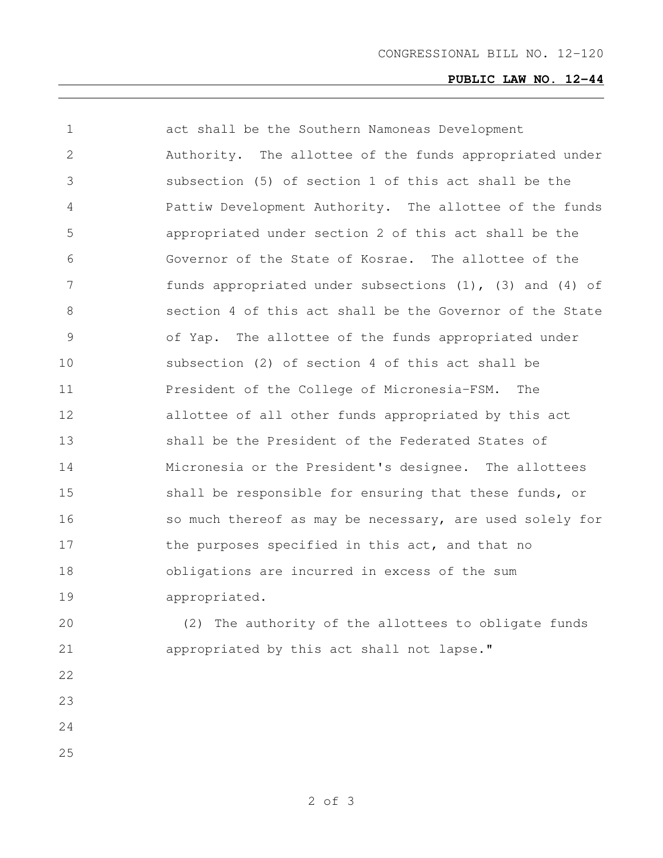| 1             | act shall be the Southern Namoneas Development                  |
|---------------|-----------------------------------------------------------------|
| 2             | Authority. The allottee of the funds appropriated under         |
| 3             | subsection (5) of section 1 of this act shall be the            |
| 4             | Pattiw Development Authority. The allottee of the funds         |
| 5             | appropriated under section 2 of this act shall be the           |
| 6             | Governor of the State of Kosrae. The allottee of the            |
| 7             | funds appropriated under subsections $(1)$ , $(3)$ and $(4)$ of |
| 8             | section 4 of this act shall be the Governor of the State        |
| $\mathcal{G}$ | of Yap. The allottee of the funds appropriated under            |
| 10            | subsection (2) of section 4 of this act shall be                |
| 11            | President of the College of Micronesia-FSM.<br>The              |
| 12            | allottee of all other funds appropriated by this act            |
| 13            | shall be the President of the Federated States of               |
| 14            | Micronesia or the President's designee. The allottees           |
| 15            | shall be responsible for ensuring that these funds, or          |
| 16            | so much thereof as may be necessary, are used solely for        |
| 17            | the purposes specified in this act, and that no                 |
| 18            | obligations are incurred in excess of the sum                   |
| 19            | appropriated.                                                   |
| 20            | (2) The authority of the allottees to obligate funds            |
| 21            | appropriated by this act shall not lapse."                      |
| 22            |                                                                 |
| 23            |                                                                 |
| 24            |                                                                 |
| 25            |                                                                 |
|               |                                                                 |